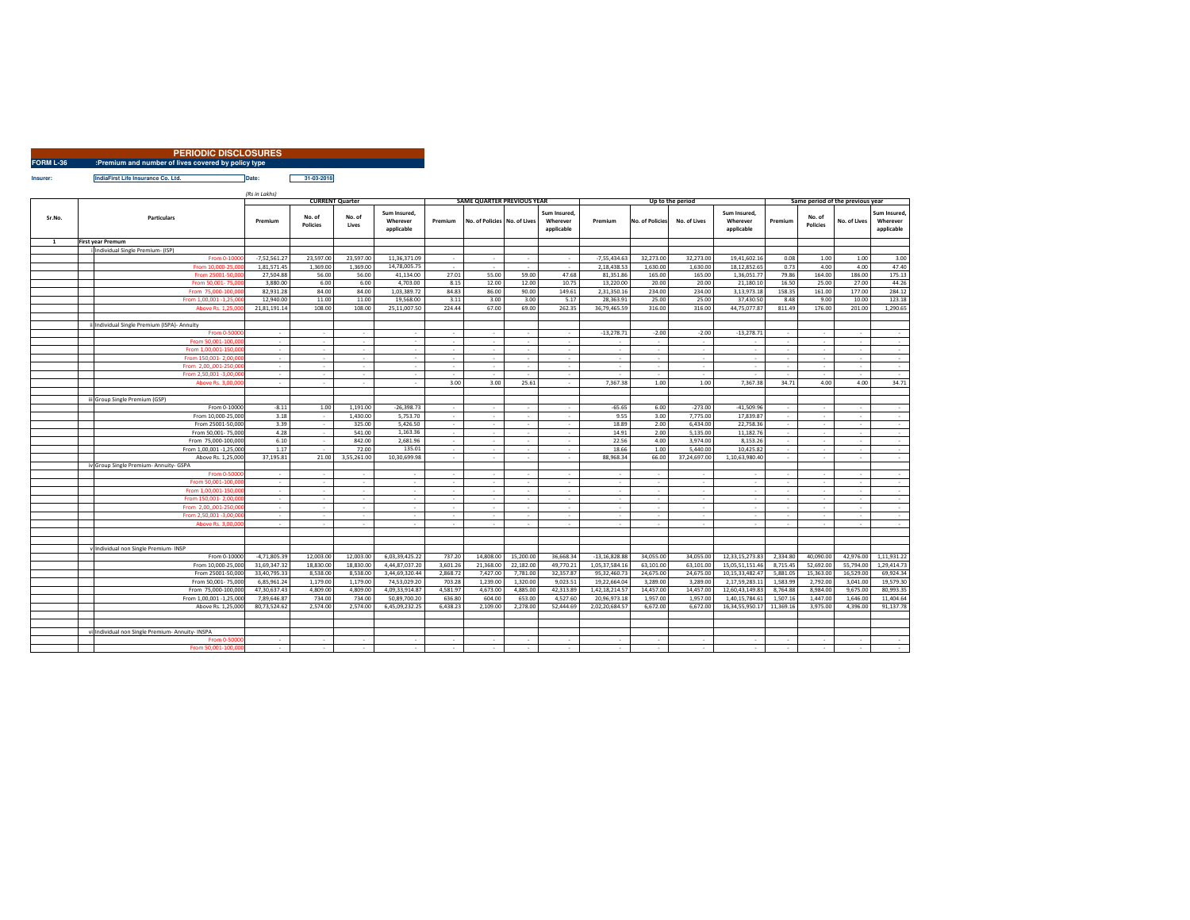|           | <b>PERIODIC DISCLOSURES</b>                          |
|-----------|------------------------------------------------------|
| FORM L-36 | : Premium and number of lives covered by policy type |

 **IndiaFirst Life Insurance Co. Ltd. Date: 31-03-2018 Insurer:**

|              |                                                  | (Rs in Lakhs)                      |                           |                                    |                                        |                  |                                   |                                    |                                        |                 |                                    |                  |                                       |                  |                           |                                  |                                        |  |  |
|--------------|--------------------------------------------------|------------------------------------|---------------------------|------------------------------------|----------------------------------------|------------------|-----------------------------------|------------------------------------|----------------------------------------|-----------------|------------------------------------|------------------|---------------------------------------|------------------|---------------------------|----------------------------------|----------------------------------------|--|--|
|              |                                                  | <b>CURRENT Quarter</b>             |                           |                                    |                                        |                  | <b>SAME QUARTER PREVIOUS YEAR</b> |                                    |                                        |                 |                                    | Up to the period |                                       |                  |                           | Same period of the previous year |                                        |  |  |
| Sr.No.       | <b>Particulars</b>                               | Premium                            | No. of<br><b>Policies</b> | No. of<br>Lives                    | Sum Insured,<br>Wherever<br>applicable | Premium          | No. of Policies No. of Lives      |                                    | Sum Insured.<br>Wherever<br>applicable | Premium         | No. of Policies                    | No. of Lives     | Sum Insured<br>Wherever<br>applicable | Premium          | No. of<br><b>Policies</b> | No. of Lives                     | Sum Insured,<br>Wherever<br>applicable |  |  |
| <sup>1</sup> | <b>First year Premum</b>                         |                                    |                           |                                    |                                        |                  |                                   |                                    |                                        |                 |                                    |                  |                                       |                  |                           |                                  |                                        |  |  |
|              | Individual Single Premium- (ISP)                 |                                    |                           |                                    |                                        |                  |                                   |                                    |                                        |                 |                                    |                  |                                       |                  |                           |                                  |                                        |  |  |
|              | From 0-1000                                      | $-7,52,561.27$                     | 23,597.00                 | 23,597.00                          | 11,36,371.09                           | $\sim$           | $\sim$                            | $\sim$                             | $\sim$                                 | $-7,55,434.63$  | 32,273.00                          | 32,273.00        | 19,41,602.16                          | 0.08             | 1.00                      | 1.00                             | 3.00                                   |  |  |
|              | From 10,000-25,00                                | 1,81,571.45                        | 1,369.00                  | 1,369.00                           | 14,78,005.75                           | $\sim$           | $\sim$                            | $\sim$                             |                                        | 2,18,438.53     | 1,630.00                           | 1,630.00         | 18,12,852.65                          | 0.73             | 4.00                      | 4.00                             | 47.40                                  |  |  |
|              | From 25001-50.00                                 | 27,504.88                          | 56.00                     | 56.00                              | 41,134.00                              | 27.01            | 55.00                             | 59.00                              | 47.68                                  | 81,351.86       | 165.00                             | 165.00           | 1,36,051.77                           | 79.86            | 164.00                    | 186.00                           | 175.13                                 |  |  |
|              | From 50.001-75.00                                | 3,880.00                           | 6.00                      | 6.00                               | 4,703.00                               | 8.15             | 12.00                             | 12.00                              | 10.75                                  | 13,220.00       | 20.00                              | 20.00            | 21.180.10                             | 16.50            | 25.00                     | 27.00                            | 44.26                                  |  |  |
|              | From 75,000-100.00                               | 82.931.28                          | 84.00                     | 84.00                              | 1,03,389.72                            | 84.83            | 86.00                             | 90.00                              | 149.61                                 | 2.31.350.16     | 234.00                             | 234.00           | 3.13.973.18                           | 158.35           | 161.00                    | 177.00                           | 284.12                                 |  |  |
|              | From 1.00.001-1.25.00                            | 12,940.00                          | 11.00                     | 11.00                              | 19,568.00                              | 3.11             | 3.00                              | 3.00                               | 5.17                                   | 28.363.91       | 25.00                              | 25.00            | 37,430.50                             | 8.48             | 9.00                      | 10.00                            | 123.18                                 |  |  |
|              | Above Rs. 1,25,000                               | 21,81,191.14                       | 108.00                    | 108.00                             | 25,11,007.50                           | 224.44           | 67.00                             | 69.00                              | 262.35                                 | 36,79,465.59    | 316.00                             | 316.00           | 44,75,077.87                          | 811.49           | 176.00                    | 201.00                           | 1,290.65                               |  |  |
|              |                                                  |                                    |                           |                                    |                                        |                  |                                   |                                    |                                        |                 |                                    |                  |                                       |                  |                           |                                  |                                        |  |  |
|              | ii Individual Single Premium (ISPA)- Annuity     |                                    |                           |                                    |                                        |                  |                                   |                                    |                                        | $-13,278.71$    | $-2.00$                            | $-2.00$          | $-13,278.71$                          |                  |                           |                                  |                                        |  |  |
|              | From 0-5000                                      | $\sim$                             | $\sim$                    | $\sim$                             | $\overline{\phantom{a}}$               | $\sim$           | $\sim$                            | $\sim$                             | $\sim$                                 |                 |                                    |                  |                                       | $\sim$           | $\sim$                    | $\sim$                           | $\sim$                                 |  |  |
|              | From 50.001-100.00<br>From 1.00.001-150.00       | $\overline{\phantom{a}}$<br>$\sim$ | $\sim$<br>$\sim$          | $\overline{\phantom{a}}$<br>$\sim$ | $\overline{\phantom{a}}$<br>$\sim$     | $\sim$<br>$\sim$ | $\sim$<br>۰.                      | $\overline{\phantom{a}}$<br>$\sim$ | $\sim$<br>. п.                         | a.              | $\overline{\phantom{a}}$<br>$\sim$ | $\sim$<br>$\sim$ | $\sim$                                | $\sim$<br>$\sim$ | $\sim$<br>$\sim$          | $\sim$<br>$\sim$                 | $\sim$<br>$\sim$                       |  |  |
|              | From 150,001-2,00,00                             | $\sim$                             | $\sim$                    | $\sim$                             | $\overline{\phantom{a}}$               | $\sim$           | $\sim$                            | $\sim$                             | $\sim$                                 | $\sim$          | $\sim$                             | $\sim$           | $\overline{\phantom{a}}$              | $\sim$           | $\sim$                    | $\sim$                           | $\sim$                                 |  |  |
|              | From 2,00,,001-250,00                            | $\sim$                             | $\sim$                    | $\overline{\phantom{a}}$           | $\overline{\phantom{a}}$               | $\sim$           | $\sim$                            | $\cdot$                            | $\sim$                                 | ÷               | $\overline{\phantom{a}}$           | $\sim$           | $\overline{\phantom{a}}$              | $\sim$           | $\sim$                    | $\overline{\phantom{a}}$         | $\sim$                                 |  |  |
|              | From 2.50.001-3.00.00                            | $\sim$                             | $\sim$                    | $\sim$                             | $\overline{\phantom{a}}$               | $\sim$           | $\sim$                            | $\sim$                             | $\sim$                                 | ÷               | $\sim$                             | $\sim$           | $\sim$                                | $\sim$           | $\sim$                    | $\sim$                           | $\sim$                                 |  |  |
|              | Above Rs. 3,00,00                                | $\sim$                             | $\sim$                    | $\sim$                             | $\overline{\phantom{a}}$               | 3.00             | 3.00                              | 25.61                              | $\sim$                                 | 7.367.38        | 1.00                               | 1.00             | 7.367.38                              | 34.71            | 4.00                      | 4.00                             | 34.71                                  |  |  |
|              |                                                  |                                    |                           |                                    |                                        |                  |                                   |                                    |                                        |                 |                                    |                  |                                       |                  |                           |                                  |                                        |  |  |
|              | iii Group Single Premium (GSP)                   |                                    |                           |                                    |                                        |                  |                                   |                                    |                                        |                 |                                    |                  |                                       |                  |                           |                                  |                                        |  |  |
|              | From 0-10000                                     | $-8.11$                            | 1.00                      | 1,191.00                           | $-26,398.73$                           | $\sim$           | $\sim$                            | $\sim$                             | $\sim$                                 | $-65.65$        | 6.00                               | $-273.00$        | $-41,509.96$                          | $\sim$           | $\sim$                    | $\sim$                           | $\sim$                                 |  |  |
|              | From 10,000-25,000                               | 3.18                               | $\overline{\phantom{a}}$  | 1.430.00                           | 5.753.70                               | $\sim$           | $\overline{\phantom{a}}$          | $\sim$                             | $\sim$                                 | 9.55            | 3.00                               | 7.775.00         | 17,839.87                             | $\sim$           | $\sim$                    | $\sim$                           | $\sim$                                 |  |  |
|              | From 25001-50,000                                | 3.39                               | $\sim$                    | 325.00                             | 5,426.50                               | $\sim$           | $\sim$                            | $\sim$                             | $\sim$                                 | 18.89           | 2.00                               | 6,434.00         | 22,758.36                             | $\sim$           | $\sim$                    | $\sim$                           | $\sim$                                 |  |  |
|              | From 50.001-75.000                               | 4.28                               | $\sim$                    | 541.00                             | 1,163.36                               | $\sim$           | $\sim$                            | $\sim$                             | $\sim$                                 | 14.91           | 2.00                               | 5,135.00         | 11.182.76                             | $\sim$           | $\sim$                    | $\sim$                           | $\sim$                                 |  |  |
|              | From 75,000-100,000                              | 6.10                               | $\sim$                    | 842.00                             | 2,681.96                               | $\sim$           | $\sim$                            | $\overline{\phantom{a}}$           | $\sim$                                 | 22.56           | 4.00                               | 3.974.00         | 8.153.26                              | $\sim$           | $\sim$                    | $\sim$                           | $\sim$                                 |  |  |
|              | From 1.00.001 -1.25.000                          | 1.17                               | $\sim$                    | 72.00                              | 135.01                                 | $\sim$           | $\sim$                            | $\sim$                             | $\sim$                                 | 18.66           | 1.00                               | 5.440.00         | 10.425.82                             | $\sim$           | $\sim$                    | $\sim$                           | $\sim$                                 |  |  |
|              | Above Rs. 1.25.000                               | 37.195.81                          | 21.00                     | 3,55,261.00                        | 10.30.699.98                           | $\sim$           | $\sim$                            | $\sim$                             | $\sim$                                 | 88.968.34       | 66.00                              | 37.24.697.00     | 1.10.63.980.40                        | $\sim$           | $\sim$                    | $\sim$                           | $\sim$                                 |  |  |
|              | iv Group Single Premium- Annuity- GSPA           |                                    |                           |                                    |                                        |                  |                                   |                                    |                                        |                 |                                    |                  |                                       |                  |                           |                                  |                                        |  |  |
|              | From 0-5000                                      | $\overline{\phantom{a}}$           | $\sim$                    | $\overline{\phantom{a}}$           | $\sim$                                 | $\sim$           | $\sim$                            | $\overline{\phantom{a}}$           | $\sim$                                 | ٠               | $\overline{\phantom{a}}$           | $\sim$           | $\overline{\phantom{a}}$              | $\sim$           | $\sim$                    | $\overline{\phantom{a}}$         | $\sim$                                 |  |  |
|              | From 50.001-100.00                               | $\sim$                             | $\sim$                    | $\sim$                             | $\sim$                                 | $\sim$           | $\sim$                            | $\sim$                             | $\sim$                                 | ÷               | $\sim$                             | $\sim$           | $\overline{\phantom{a}}$              | $\sim$           | $\sim$                    | $\sim$                           | $\sim$                                 |  |  |
|              | From 1.00.001-150.00                             | $\sim$                             |                           | $\overline{\phantom{a}}$           | $\sim$                                 |                  |                                   | $\overline{\phantom{a}}$           |                                        | ٠               | $\sim$                             | $\sim$           |                                       | ÷                |                           | $\sim$                           | $\sim$                                 |  |  |
|              | From 150,001-2,00,00                             | $\sim$                             | - 1                       | $\sim$                             | $\sim$                                 | - 1              | ÷.                                | $\sim$                             | $\sim$                                 | ۰.              | $\sim$                             | $\sim$           | $\sim$                                | $\sim$           | in 19                     | $\sim$                           | $\sim$                                 |  |  |
|              | From 2.00001-250.00                              | $\sim$                             | $\sim$                    | $\sim$                             | $\sim$                                 | $\sim$           | $\sim$                            | $\sim$                             | $\sim$                                 | ÷               | $\sim$                             | $\sim$           | $\overline{\phantom{a}}$              | $\sim$           | $\sim$                    | $\sim$                           | $\sim$                                 |  |  |
|              | From 2.50.001-3.00.00                            | $\sim$<br>$\sim$                   | $\sim$                    | $\sim$<br>٠                        | $\sim$<br>$\sim$                       | $\sim$           | $\sim$<br>÷                       | $\sim$<br>$\sim$                   | - 1<br>$\sim$                          | $\sim$<br>÷     | $\sim$<br>٠                        | $\sim$<br>÷      | $\sim$                                | $\sim$<br>$\sim$ | $\sim$<br>$\sim$          | $\sim$<br>$\sim$                 | $\sim$                                 |  |  |
|              | Above Rs. 3,00.00                                |                                    |                           |                                    |                                        |                  |                                   |                                    |                                        |                 |                                    |                  |                                       |                  |                           |                                  | $\sim$                                 |  |  |
|              |                                                  |                                    |                           |                                    |                                        |                  |                                   |                                    |                                        |                 |                                    |                  |                                       |                  |                           |                                  |                                        |  |  |
|              | v Individual non Single Premium- INSP            |                                    |                           |                                    |                                        |                  |                                   |                                    |                                        |                 |                                    |                  |                                       |                  |                           |                                  |                                        |  |  |
|              | From 0-10000                                     | $-4,71,805.39$                     | 12,003.00                 | 12,003.00                          | 6,03,39,425.22                         | 737.20           | 14,808.00                         | 15,200.00                          | 36,668.34                              | $-13,16,828.88$ | 34,055.00                          | 34.055.00        | 12,33,15,273.83                       | 2.334.80         | 40.090.00                 | 42,976.00                        | 1,11,931.22                            |  |  |
|              | From 10,000-25,000                               | 31,69,347.32                       | 18,830.00                 | 18.830.00                          | 4,44,87,037.20                         | 3,601.26         | 21,368.00                         | 22,182.00                          | 49,770.21                              | 1,05,37,584.16  | 63,101.00                          | 63,101.00        | 15,05,51,151.46                       | 8,715.45         | 52,692.00                 | 55,794.00                        | 1,29,414.73                            |  |  |
|              | From 25001-50,000                                | 33,40,795.33                       | 8,538.00                  | 8,538.00                           | 3,44,69,320.44                         | 2,868.72         | 7,427.00                          | 7,781.00                           | 32,357.87                              | 95,32,460.73    | 24,675.00                          | 24,675.00        | 10,15,33,482.47                       | 5,881.05         | 15,363.00                 | 16,529.00                        | 69,924.34                              |  |  |
|              | From 50.001-75.000                               | 6,85,961.24                        | 1.179.00                  | 1.179.00                           | 74,53,029.20                           | 703.28           | 1.239.00                          | 1,320.00                           | 9.023.51                               | 19,22,664.04    | 3,289.00                           | 3.289.00         | 2,17,59,283.11                        | 1,583.99         | 2.792.00                  | 3,041.00                         | 19,579.30                              |  |  |
|              | From 75,000-100,000                              | 47,30,637.43                       | 4.809.00                  | 4.809.00                           | 4,09,33,914.87                         | 4.581.97         | 4.673.00                          | 4,885.00                           | 42.313.89                              | 1,42,18,214.57  | 14.457.00                          | 14.457.00        | 12,60,43,149.83                       | 8,764.88         | 8.984.00                  | 9,675.00                         | 80,993.35                              |  |  |
|              | From 1,00,001 -1,25,000                          | 7,89,646.87                        | 734.00                    | 734.00                             | 50.89.700.20                           | 636.80           | 604.00                            | 653.00                             | 4.527.60                               | 20,96,973.18    | 1.957.00                           | 1,957.00         | 1,40,15,784.61                        | 1,507.16         | 1,447.00                  | 1,646.00                         | 11,404.64                              |  |  |
|              | Above Rs. 1.25.000                               | 80,73,524.62                       | 2,574.00                  | 2.574.00                           | 6,45,09,232.25                         | 6,438.23         | 2.109.00                          | 2,278.00                           | 52,444.69                              | 2,02,20,684.57  | 6,672.00                           | 6.672.00         | 16,34,55,950.17                       | 11,369.16        | 3,975.00                  | 4,396.00                         | 91,137.78                              |  |  |
|              |                                                  |                                    |                           |                                    |                                        |                  |                                   |                                    |                                        |                 |                                    |                  |                                       |                  |                           |                                  |                                        |  |  |
|              |                                                  |                                    |                           |                                    |                                        |                  |                                   |                                    |                                        |                 |                                    |                  |                                       |                  |                           |                                  |                                        |  |  |
|              | vi Individual non Single Premium- Annuity- INSPA |                                    |                           |                                    |                                        |                  |                                   |                                    |                                        |                 |                                    |                  |                                       |                  |                           |                                  |                                        |  |  |
|              | From 0-5000                                      | $\sim$                             | $\sim$                    | $\sim$                             | $\sim$                                 | $\sim$           | $\sim$                            | $\sim$                             | . п.                                   | $\sim$          | $\sim$                             | $\sim$           | $\sim$                                | ۰.               | $\sim$                    | $\sim$                           | $\sim$                                 |  |  |
|              | From 50.001-100.000                              | $\sim$                             | $\sim$                    | $\sim$                             | $\sim$                                 | $\sim$           | $\sim$                            | $\sim$                             | $\sim$                                 | $\sim$          | $\sim$                             | $\sim$           | $\sim$                                | $\sim$           | $\sim$                    | $\sim$                           | $\sim$                                 |  |  |